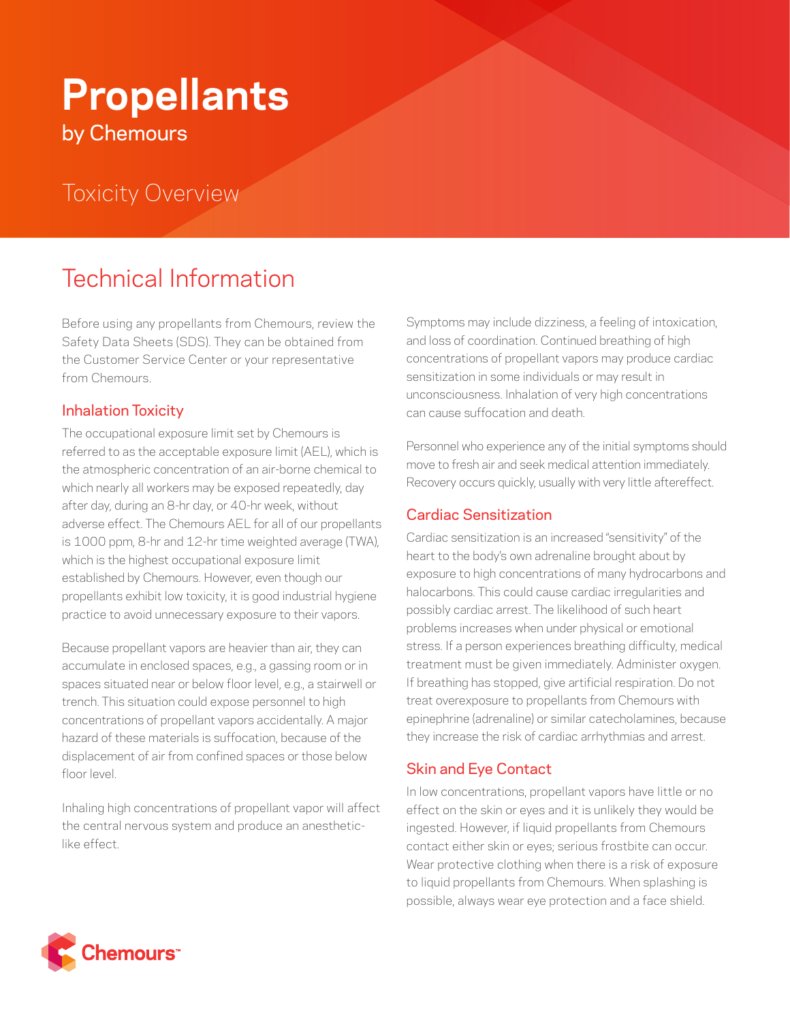# **Propellants** by Chemours

### Toxicity Overview

## Technical Information

Before using any propellants from Chemours, review the Safety Data Sheets (SDS). They can be obtained from the Customer Service Center or your representative from Chemours.

#### Inhalation Toxicity

The occupational exposure limit set by Chemours is referred to as the acceptable exposure limit (AEL), which is the atmospheric concentration of an air-borne chemical to which nearly all workers may be exposed repeatedly, day after day, during an 8-hr day, or 40-hr week, without adverse effect. The Chemours AEL for all of our propellants is 1000 ppm, 8-hr and 12-hr time weighted average (TWA), which is the highest occupational exposure limit established by Chemours. However, even though our propellants exhibit low toxicity, it is good industrial hygiene practice to avoid unnecessary exposure to their vapors.

Because propellant vapors are heavier than air, they can accumulate in enclosed spaces, e.g., a gassing room or in spaces situated near or below floor level, e.g., a stairwell or trench. This situation could expose personnel to high concentrations of propellant vapors accidentally. A major hazard of these materials is suffocation, because of the displacement of air from confined spaces or those below floor level.

Inhaling high concentrations of propellant vapor will affect the central nervous system and produce an anestheticlike effect.

Symptoms may include dizziness, a feeling of intoxication, and loss of coordination. Continued breathing of high concentrations of propellant vapors may produce cardiac sensitization in some individuals or may result in unconsciousness. Inhalation of very high concentrations can cause suffocation and death.

Personnel who experience any of the initial symptoms should move to fresh air and seek medical attention immediately. Recovery occurs quickly, usually with very little aftereffect.

#### Cardiac Sensitization

Cardiac sensitization is an increased "sensitivity" of the heart to the body's own adrenaline brought about by exposure to high concentrations of many hydrocarbons and halocarbons. This could cause cardiac irregularities and possibly cardiac arrest. The likelihood of such heart problems increases when under physical or emotional stress. If a person experiences breathing difficulty, medical treatment must be given immediately. Administer oxygen. If breathing has stopped, give artificial respiration. Do not treat overexposure to propellants from Chemours with epinephrine (adrenaline) or similar catecholamines, because they increase the risk of cardiac arrhythmias and arrest.

#### Skin and Eye Contact

In low concentrations, propellant vapors have little or no effect on the skin or eyes and it is unlikely they would be ingested. However, if liquid propellants from Chemours contact either skin or eyes; serious frostbite can occur. Wear protective clothing when there is a risk of exposure to liquid propellants from Chemours. When splashing is possible, always wear eye protection and a face shield.